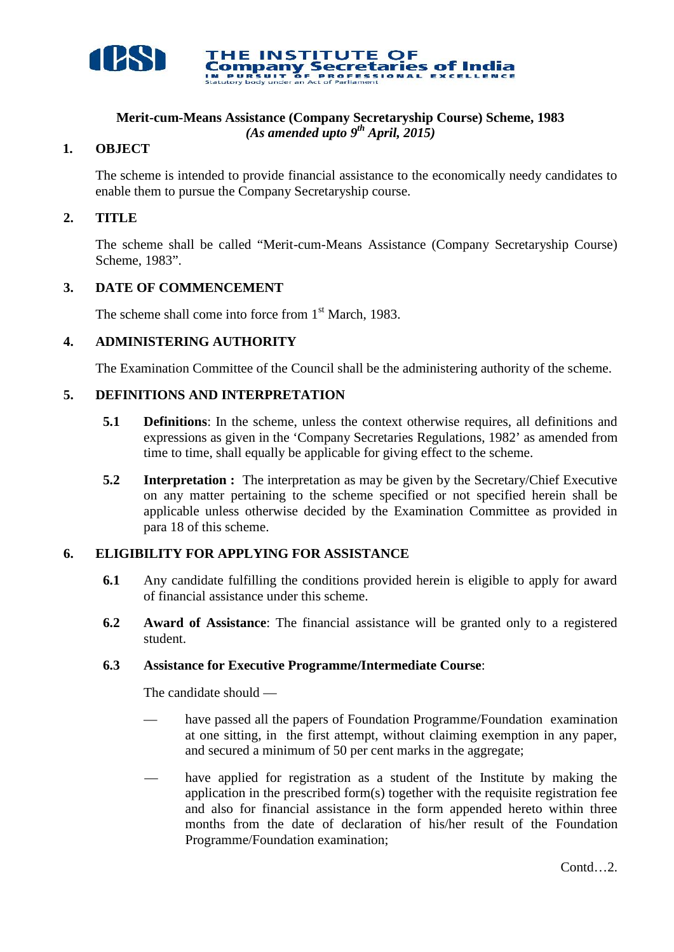

# **Merit-cum-Means Assistance (Company Secretaryship Course) Scheme, 1983** *(As amended upto 9 th April, 2015)*

THE INSTITUTE OF

# **1. OBJECT**

The scheme is intended to provide financial assistance to the economically needy candidates to enable them to pursue the Company Secretaryship course.

**Company Secretaries of India** 

# **2. TITLE**

The scheme shall be called "Merit-cum-Means Assistance (Company Secretaryship Course) Scheme, 1983".

# **3. DATE OF COMMENCEMENT**

The scheme shall come into force from  $1<sup>st</sup>$  March, 1983.

# **4. ADMINISTERING AUTHORITY**

The Examination Committee of the Council shall be the administering authority of the scheme.

# **5. DEFINITIONS AND INTERPRETATION**

- **5.1 Definitions**: In the scheme, unless the context otherwise requires, all definitions and expressions as given in the 'Company Secretaries Regulations, 1982' as amended from time to time, shall equally be applicable for giving effect to the scheme.
- **5.2 Interpretation :** The interpretation as may be given by the Secretary/Chief Executive on any matter pertaining to the scheme specified or not specified herein shall be applicable unless otherwise decided by the Examination Committee as provided in para 18 of this scheme.

# **6. ELIGIBILITY FOR APPLYING FOR ASSISTANCE**

- **6.1** Any candidate fulfilling the conditions provided herein is eligible to apply for award of financial assistance under this scheme.
- **6.2 Award of Assistance**: The financial assistance will be granted only to a registered student.

## **6.3 Assistance for Executive Programme/Intermediate Course**:

The candidate should —

- have passed all the papers of Foundation Programme/Foundation examination at one sitting, in the first attempt, without claiming exemption in any paper, and secured a minimum of 50 per cent marks in the aggregate;
- have applied for registration as a student of the Institute by making the application in the prescribed form(s) together with the requisite registration fee and also for financial assistance in the form appended hereto within three months from the date of declaration of his/her result of the Foundation Programme/Foundation examination;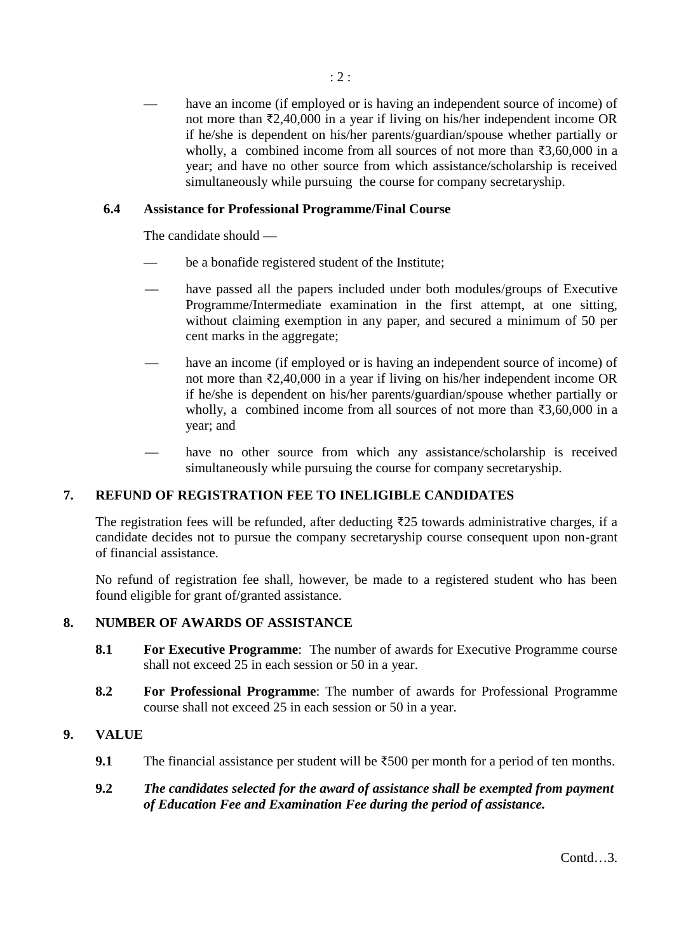have an income (if employed or is having an independent source of income) of not more than ₹2,40,000 in a year if living on his/her independent income OR if he/she is dependent on his/her parents/guardian/spouse whether partially or wholly, a combined income from all sources of not more than ₹3,60,000 in a year; and have no other source from which assistance/scholarship is received simultaneously while pursuing the course for company secretaryship.

# **6.4 Assistance for Professional Programme/Final Course**

The candidate should —

- be a bonafide registered student of the Institute;
- have passed all the papers included under both modules/groups of Executive Programme/Intermediate examination in the first attempt, at one sitting, without claiming exemption in any paper, and secured a minimum of 50 per cent marks in the aggregate;
- have an income (if employed or is having an independent source of income) of not more than ₹2,40,000 in a year if living on his/her independent income OR if he/she is dependent on his/her parents/guardian/spouse whether partially or wholly, a combined income from all sources of not more than ₹3,60,000 in a year; and
- have no other source from which any assistance/scholarship is received simultaneously while pursuing the course for company secretaryship.

## **7. REFUND OF REGISTRATION FEE TO INELIGIBLE CANDIDATES**

The registration fees will be refunded, after deducting ₹25 towards administrative charges, if a candidate decides not to pursue the company secretaryship course consequent upon non-grant of financial assistance.

No refund of registration fee shall, however, be made to a registered student who has been found eligible for grant of/granted assistance.

## **8. NUMBER OF AWARDS OF ASSISTANCE**

- **8.1 For Executive Programme**: The number of awards for Executive Programme course shall not exceed 25 in each session or 50 in a year.
- **8.2 For Professional Programme**: The number of awards for Professional Programme course shall not exceed 25 in each session or 50 in a year.

## **9. VALUE**

- **9.1** The financial assistance per student will be ₹500 per month for a period of ten months.
- **9.2** *The candidates selected for the award of assistance shall be exempted from payment of Education Fee and Examination Fee during the period of assistance.*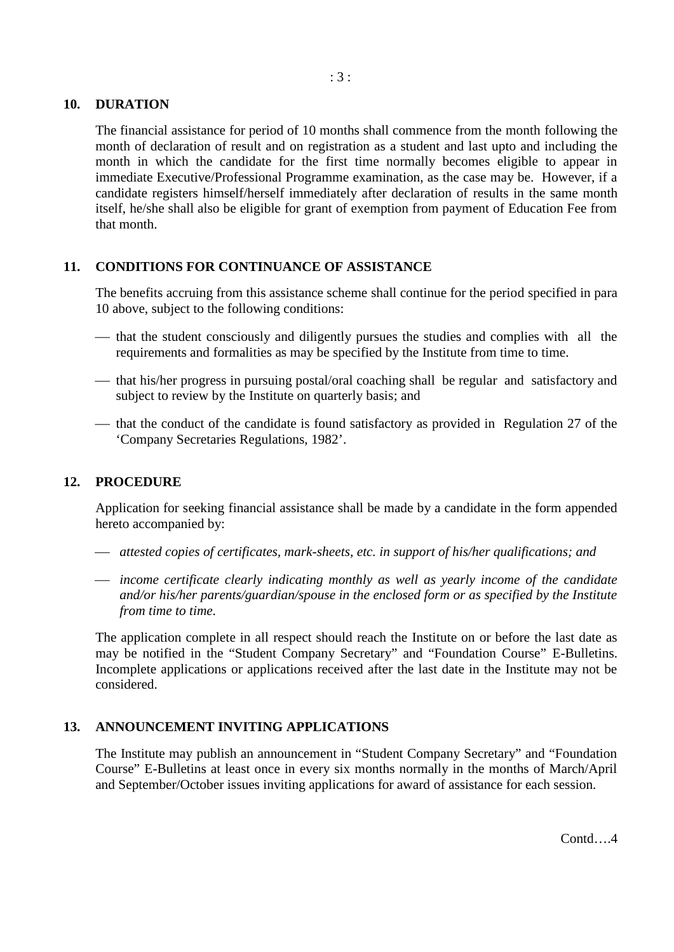#### **10. DURATION**

The financial assistance for period of 10 months shall commence from the month following the month of declaration of result and on registration as a student and last upto and including the month in which the candidate for the first time normally becomes eligible to appear in immediate Executive/Professional Programme examination, as the case may be. However, if a candidate registers himself/herself immediately after declaration of results in the same month itself, he/she shall also be eligible for grant of exemption from payment of Education Fee from that month.

## **11. CONDITIONS FOR CONTINUANCE OF ASSISTANCE**

The benefits accruing from this assistance scheme shall continue for the period specified in para 10 above, subject to the following conditions:

- $\frac{1}{1}$  that the student consciously and diligently pursues the studies and complies with all the requirements and formalities as may be specified by the Institute from time to time.
- $\frac{1}{\sqrt{1-\frac{1}{\sqrt{1-\frac{1}{\sqrt{1-\frac{1}{\sqrt{1-\frac{1}{\sqrt{1-\frac{1}{\sqrt{1-\frac{1}{\sqrt{1-\frac{1}{\sqrt{1-\frac{1}{\sqrt{1-\frac{1}{\sqrt{1-\frac{1}{\sqrt{1-\frac{1}{\sqrt{1-\frac{1}{\sqrt{1-\frac{1}{\sqrt{1-\frac{1}{\sqrt{1-\frac{1}{\sqrt{1-\frac{1}{\sqrt{1-\frac{1}{\sqrt{1-\frac{1}{\sqrt{1-\frac{1}{\sqrt{1-\frac{1}{\sqrt{1-\frac{1}{\sqrt{1-\frac{1}{\sqrt{1-\frac{1}{\sqrt{1-\frac{1}{$ subject to review by the Institute on quarterly basis; and
- that the conduct of the candidate is found satisfactory as provided in Regulation 27 of the 'Company Secretaries Regulations, 1982'.

## **12. PROCEDURE**

Application for seeking financial assistance shall be made by a candidate in the form appended hereto accompanied by:

- *attested copies of certificates, mark-sheets, etc. in support of his/her qualifications; and*
- *income certificate clearly indicating monthly as well as yearly income of the candidate and/or his/her parents/guardian/spouse in the enclosed form or as specified by the Institute from time to time.*

The application complete in all respect should reach the Institute on or before the last date as may be notified in the "Student Company Secretary" and "Foundation Course" E-Bulletins. Incomplete applications or applications received after the last date in the Institute may not be considered.

## **13. ANNOUNCEMENT INVITING APPLICATIONS**

The Institute may publish an announcement in "Student Company Secretary" and "Foundation Course" E-Bulletins at least once in every six months normally in the months of March/April and September/October issues inviting applications for award of assistance for each session.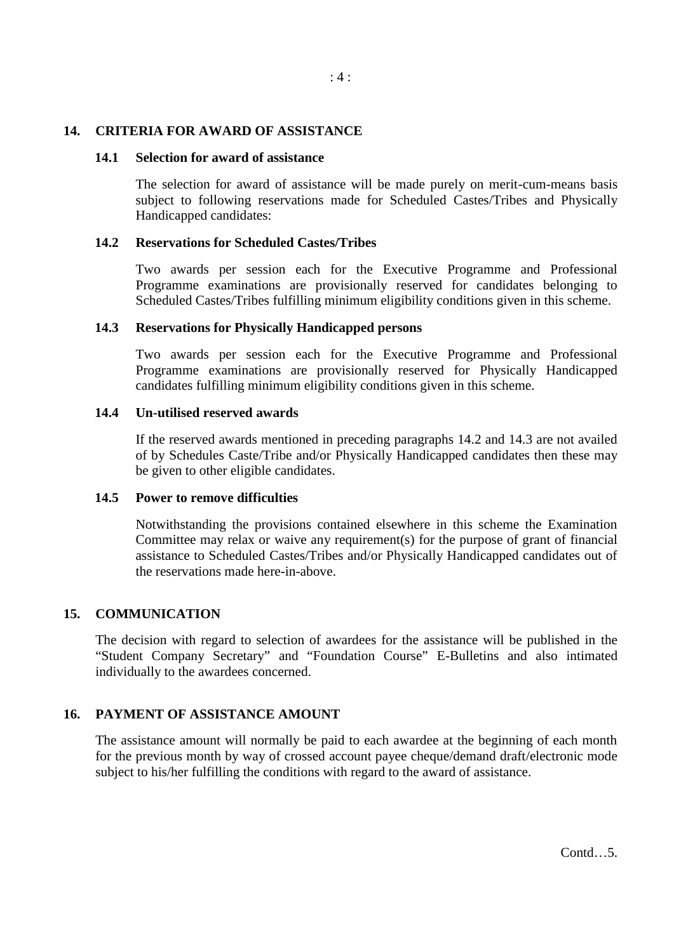#### **14. CRITERIA FOR AWARD OF ASSISTANCE**

#### **14.1 Selection for award of assistance**

The selection for award of assistance will be made purely on merit-cum-means basis subject to following reservations made for Scheduled Castes/Tribes and Physically Handicapped candidates:

#### **14.2 Reservations for Scheduled Castes/Tribes**

Two awards per session each for the Executive Programme and Professional Programme examinations are provisionally reserved for candidates belonging to Scheduled Castes/Tribes fulfilling minimum eligibility conditions given in this scheme.

#### **14.3 Reservations for Physically Handicapped persons**

Two awards per session each for the Executive Programme and Professional Programme examinations are provisionally reserved for Physically Handicapped candidates fulfilling minimum eligibility conditions given in this scheme.

#### **14.4 Un-utilised reserved awards**

If the reserved awards mentioned in preceding paragraphs 14.2 and 14.3 are not availed of by Schedules Caste/Tribe and/or Physically Handicapped candidates then these may be given to other eligible candidates.

#### **14.5 Power to remove difficulties**

Notwithstanding the provisions contained elsewhere in this scheme the Examination Committee may relax or waive any requirement(s) for the purpose of grant of financial assistance to Scheduled Castes/Tribes and/or Physically Handicapped candidates out of the reservations made here-in-above.

## **15. COMMUNICATION**

The decision with regard to selection of awardees for the assistance will be published in the "Student Company Secretary" and "Foundation Course" E-Bulletins and also intimated individually to the awardees concerned.

## **16. PAYMENT OF ASSISTANCE AMOUNT**

The assistance amount will normally be paid to each awardee at the beginning of each month for the previous month by way of crossed account payee cheque/demand draft/electronic mode subject to his/her fulfilling the conditions with regard to the award of assistance.